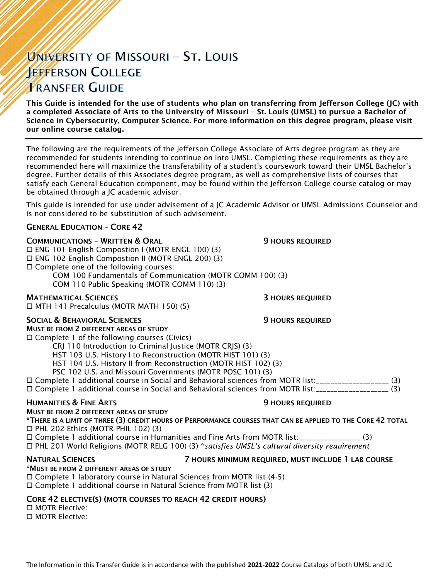# UNIVERSITY OF MISSOURI - ST. LOUIS **JEFFERSON COLLEGE TRANSFER GUIDE**

This Guide is intended for the use of students who plan on transferring from Jefferson College (JC) with a completed Associate of Arts to the University of Missouri – St. Louis (UMSL) to pursue a Bachelor of Science in Cybersecurity, Computer Science. For more information on this degree program, please visit our online course catalog.

The following are the requirements of the Jefferson College Associate of Arts degree program as they are recommended for students intending to continue on into UMSL. Completing these requirements as they are recommended here will maximize the transferability of a student's coursework toward their UMSL Bachelor's degree. Further details of this Associates degree program, as well as comprehensive lists of courses that satisfy each General Education component, may be found within the Jefferson College course catalog or may be obtained through a JC academic advisor.

This guide is intended for use under advisement of a JC Academic Advisor or UMSL Admissions Counselor and is not considered to be substitution of such advisement.

# GENERAL EDUCATION – CORE 42

### **COMMUNICATIONS - WRITTEN & ORAL 5 AU SERVICE SECULAR SECULAR SECULAR SERVICED**

 ENG 101 English Compostion I (MOTR ENGL 100) (3) ENG 102 English Compostion II (MOTR ENGL 200) (3) Complete one of the following courses: COM 100 Fundamentals of Communication (MOTR COMM 100) (3)

COM 110 Public Speaking (MOTR COMM 110) (3)

# **MATHEMATICAL SCIENCES 3 HOURS REQUIRED**

MTH 141 Precalculus (MOTR MATH 150) (5)

### SOCIAL & BEHAVIORAL SCIENCES **19 SOCIAL SERVICES** 9 HOURS REQUIRED

MUST BE FROM 2 DIFFERENT AREAS OF STUDY Complete 1 of the following courses (Civics)

CRJ 110 Introduction to Criminal Justice (MOTR CRJS) (3)

HST 103 U.S. History I to Reconstruction (MOTR HIST 101) (3)

HST 104 U.S. History II from Reconstruction (MOTR HIST 102) (3)

PSC 102 U.S. and Missouri Governments (MOTR POSC 101) (3)

 Complete 1 additional course in Social and Behavioral sciences from MOTR list:\_\_\_\_\_\_\_\_\_\_\_\_\_\_\_\_\_\_\_\_ (3) Complete 1 additional course in Social and Behavioral sciences from MOTR list:\_\_\_\_\_\_\_\_\_\_\_\_\_\_\_\_\_\_\_\_ (3)

# HUMANITIES & FINE ARTS 9 HOURS REQUIRED

MUST BE FROM 2 DIFFERENT AREAS OF STUDY

\*THERE IS A LIMIT OF THREE (3) CREDIT HOURS OF PERFORMANCE COURSES THAT CAN BE APPLIED TO THE CORE 42 TOTAL PHL 202 Ethics (MOTR PHIL 102) (3)

 Complete 1 additional course in Humanities and Fine Arts from MOTR list:\_\_\_\_\_\_\_\_\_\_\_\_\_\_\_\_\_ (3) PHL 201 World Religions (MOTR RELG 100) (3) \**satisfies UMSL's cultural diversity requirement*

# \*MUST BE FROM 2 DIFFERENT AREAS OF STUDY

### NATURAL SCIENCES 7 HOURS MINIMUM REQUIRED, MUST INCLUDE 1 LAB COURSE

Complete 1 laboratory course in Natural Sciences from MOTR list (4-5)

Complete 1 additional course in Natural Science from MOTR list (3)

### CORE 42 ELECTIVE(S) (MOTR COURSES TO REACH 42 CREDIT HOURS)

 MOTR Elective: MOTR Elective: